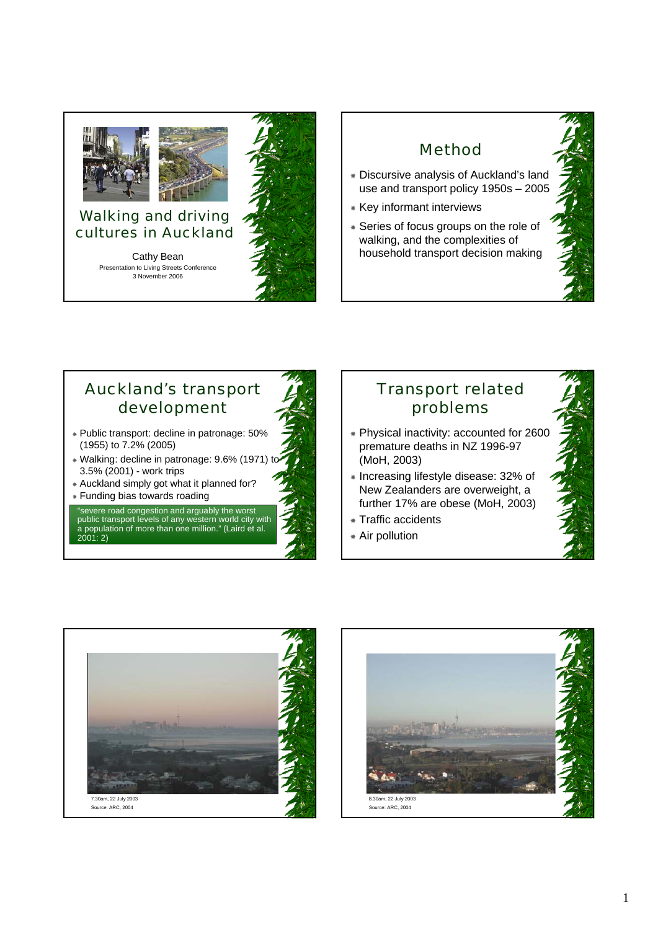



#### Walking and driving cultures in Auckland

Cathy Bean Presentation to Living Streets Conference 3 November 2006



# Method Discursive analysis of Auckland's land use and transport policy 1950s – 2005 Key informant interviews Series of focus groups on the role of walking, and the complexities of household transport decision making

## Auckland's transport development

- Public transport: decline in patronage: 50% (1955) to 7.2% (2005)
- \* Walking: decline in patronage: 9.6% (1971) to 3.5% (2001) - work trips
- Auckland simply got what it planned for?
- Funding bias towards roading

"severe road congestion and arguably the worst public transport levels of any western world city with a population of more than one million." (Laird et al.  $2001:2$ 

### Transport related problems

- Physical inactivity: accounted for 2600 premature deaths in NZ 1996-97 (MoH, 2003)
- \* Increasing lifestyle disease: 32% of New Zealanders are overweight, a further 17% are obese (MoH, 2003)
- Traffic accidents
- Air pollution





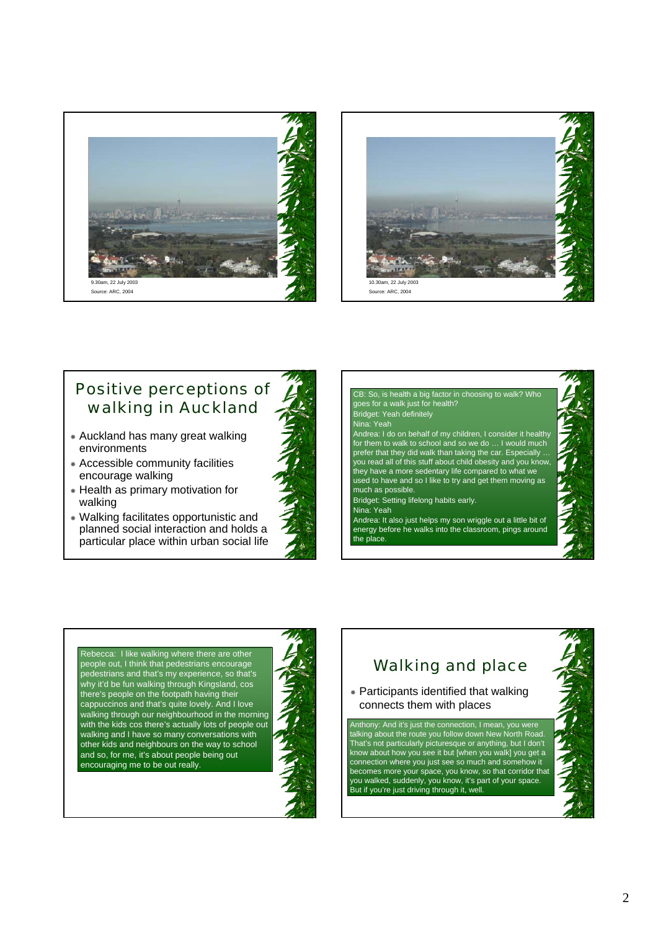



#### Positive perceptions of walking in Auckland

- Auckland has many great walking environments
- Accessible community facilities encourage walking
- Health as primary motivation for walking
- Walking facilitates opportunistic and planned social interaction and holds a particular place within urban social life

CB: So, is health a big factor in choosing to walk? Who goes for a walk just for health? Bridget: Yeah definitely

Nina: Yeah

Andrea: I do on behalf of my children, I consider it healthy for them to walk to school and so we do … I would much prefer that they did walk than taking the car. Especially … you read all of this stuff about child obesity and you know, they have a more sedentary life compared to what we used to have and so I like to try and get them moving as much as possible.

Bridget: Setting lifelong habits early.

#### Nina: Yeah

Andrea: It also just helps my son wriggle out a little bit of energy before he walks into the classroom, pings around the place.



Rebecca: I like walking where there are other people out, I think that pedestrians encourage pedestrians and that's my experience, so that's why it'd be fun walking through Kingsland, cos there's people on the footpath having their cappuccinos and that's quite lovely. And I love walking through our neighbourhood in the morning with the kids cos there's actually lots of people out walking and I have so many conversations with other kids and neighbours on the way to school and so, for me, it's about people being out encouraging me to be out really.



# Walking and place

 Participants identified that walking connects them with places

Anthony: And it's just the connection, I mean, you were talking about the route you follow down New North Road. That's not particularly picturesque or anything, but I don't know about how you see it but [when you walk] you get a connection where you just see so much and somehow it becomes more your space, you know, so that corridor that you walked, suddenly, you know, it's part of your space. But if you're just driving through it, well.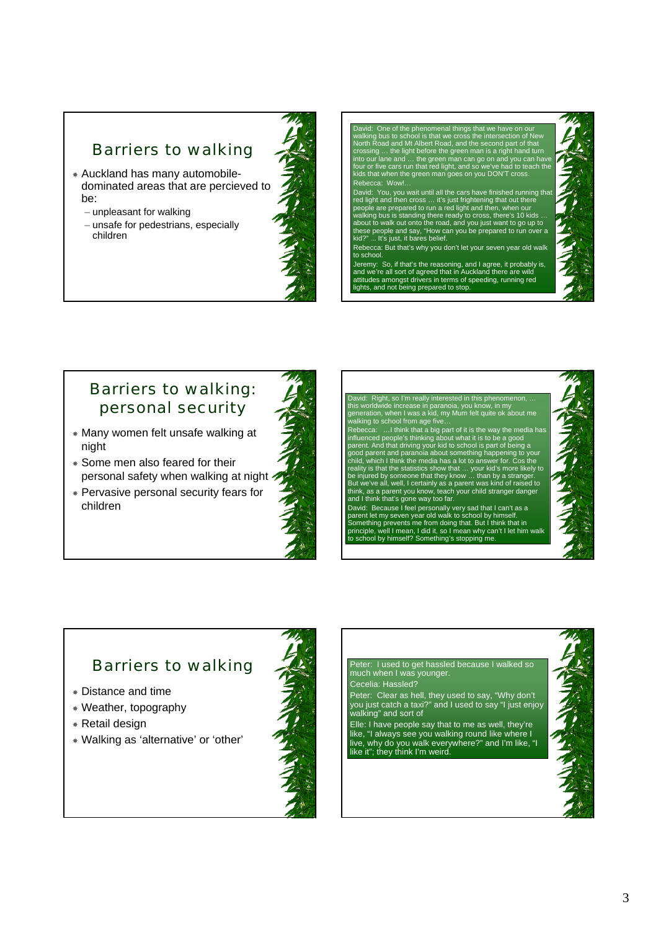### Barriers to walking

- Auckland has many automobiledominated areas that are percieved to be:
	- unpleasant for walking
	- unsafe for pedestrians, especially children



David: One of the phenomenal things that we have on our walking bus to school is that we cross the intersection of New North Road and Mt Albert Road, and the second part of that crossing … the light before the green man is a right hand turn into <mark>nan</mark><br>Ted light, an four or five cars run that red light, and so we've had to teach the kids that when the green man goes on you DON'T cross. Rebecca: Wow!…

David: You, you wait until all the cars have finished running that red light and then cross … it's just frightening that out there people are prepared to run a red light and then, when our walking bus is standing there ready to cross, there's 10 kids ...<br>about to walk out onto the road, and you just want to go up to<br>these people and say, "How can you be prepared to run over a<br>kid?" ... It's just, it bares be

ca: But that's why you don't let your seven year old walk to school.

Jeremy: So, if that's the reasoning, and I agree, it probably is,<br>and we're all sort of agreed that in Auckland there are wild<br>attitudes amongst drivers in terms of speeding, running red<br>lights, and not being prepared to s



### Barriers to walking: personal security

- Many women felt unsafe walking at night
- Some men also feared for their personal safety when walking at night
- Pervasive personal security fears for children



David: Right, so I'm really interested in this phenomenon, … this worldwide increase in paranoia, you know, in my generation, when I was a kid, my Mum felt quite ok about me walking to school from age five…

Rebecca: ....I think that a big part of it is the way the media has<br>influenced people's thinking about what it is to be a good<br>parent. And that driving your kid to school is part of being a<br>good parent and paranoia about s be injured by someone that they know ... than by a stranger.<br>But we've all, well, I certainly as a parent was kind of raised to<br>think, as a parent you know, teach your child stranger danger<br>and I think that's gone way too

David: Because I feel personally very sad that I can't as a<br>parent let my seven year old walk to school by himself.<br>Something prevents me from doing that. But I think that in<br>principle, well I mean, I did it, so I mean why to school by himself? Something's stopping



#### Barriers to walking

- Distance and time
- Weather, topography
- Retail design
- Walking as 'alternative' or 'other'



Peter: I used to get hassled because I walked so much when I was younger.

Cecelia: Hassled?

Peter: Clear as hell, they used to say, "Why don't you just catch a taxi?" and I used to say "I just enjoy walking" and sort of

Elle: I have people say that to me as well, they're like, "I always see you walking round like where I live, why do you walk everywhere?" and I'm like, "I like it"; they think I'm weird.

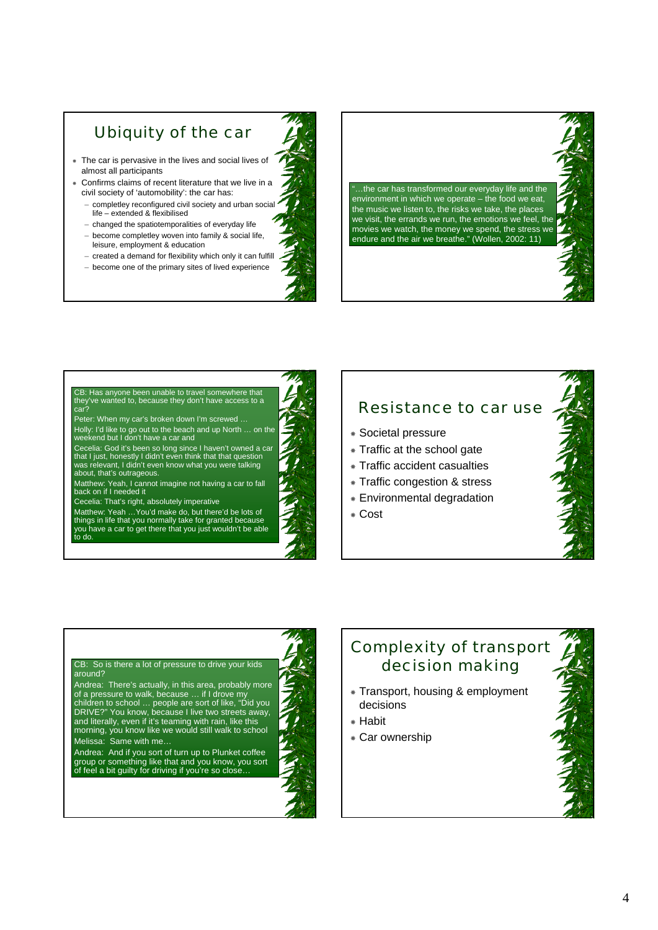#### Ubiquity of the car

- The car is pervasive in the lives and social lives of almost all participants
- Confirms claims of recent literature that we live in a civil society of 'automobility': the car has:
	- completley reconfigured civil society and urban social life – extended & flexibilised
	- changed the spatiotemporalities of everyday life become completley woven into family & social life,
	- leisure, employment & education – created a demand for flexibility which only it can fulfill
	- become one of the primary sites of lived experience



#### CB: Has anyone been unable to travel somewhere that they've wanted to, because they don't have access to a car? Peter: When my car's broken down I'm screwed Holly: I'd like to go out to the beach and up North … on the weekend but I don't have a car and

Cecelia: God it's been so long since I haven't owned a car that I just, honestly I didn't even think that that question was relevant, I didn't even know what you were talking about, that's outrageous.

Matthew: Yeah, I cannot imagine not having a car to fall back on if I needed it

Cecelia: That's right, absolutely imperative

Matthew: Yeah …You'd make do, but there'd be lots of things in life that you normally take for granted because you have a car to get there that you just wouldn't be able to do.

### Resistance to car use

- Societal pressure
- Traffic at the school gate
- Traffic accident casualties
- Traffic congestion & stress
- Environmental degradation
- Cost



#### CB: So is there a lot of pressure to drive your kids around? Andrea: There's actually, in this area, probably more of a pressure to walk, because … if I drove my children to school … people are sort of like, "Did you DRIVE?" You know, because I live two streets away, and literally, even if it's teaming with rain, like this morning, you know like we would still walk to school Melissa: Same with me… Andrea: And if you sort of turn up to Plunket coffee group or something like that and you know, you sort of feel a bit guilty for driving if you're so close…

#### Complexity of transport decision making

- Transport, housing & employment decisions
- Habit
- Car ownership